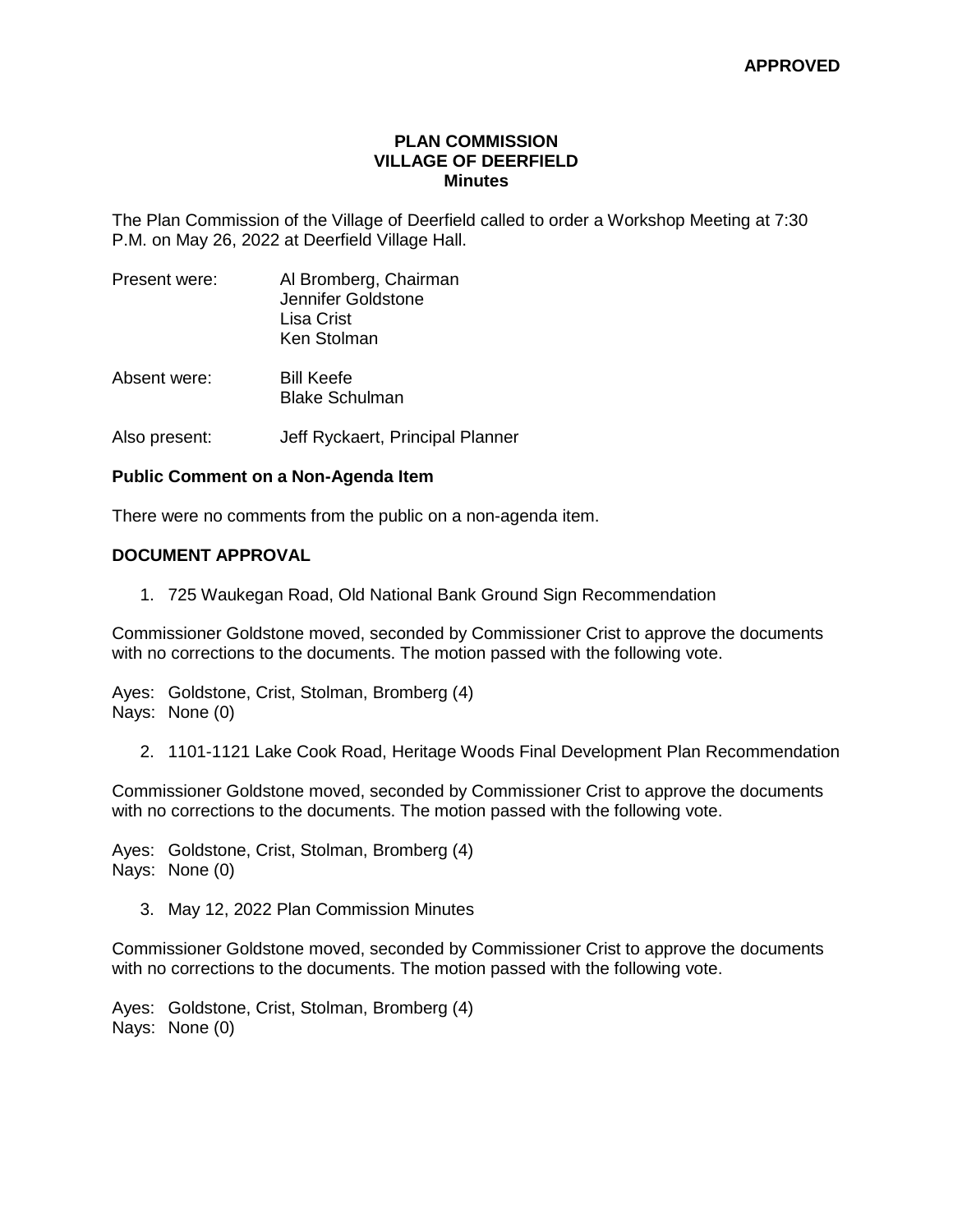### **PLAN COMMISSION VILLAGE OF DEERFIELD Minutes**

The Plan Commission of the Village of Deerfield called to order a Workshop Meeting at 7:30 P.M. on May 26, 2022 at Deerfield Village Hall.

| Present were: | Al Bromberg, Chairman<br>Jennifer Goldstone<br>Lisa Crist<br>Ken Stolman |
|---------------|--------------------------------------------------------------------------|
| Absent were:  | <b>Bill Keefe</b><br><b>Blake Schulman</b>                               |

Also present: Jeff Ryckaert, Principal Planner

#### **Public Comment on a Non-Agenda Item**

There were no comments from the public on a non-agenda item.

#### **DOCUMENT APPROVAL**

1. 725 Waukegan Road, Old National Bank Ground Sign Recommendation

Commissioner Goldstone moved, seconded by Commissioner Crist to approve the documents with no corrections to the documents. The motion passed with the following vote.

Ayes: Goldstone, Crist, Stolman, Bromberg (4) Nays: None (0)

2. 1101-1121 Lake Cook Road, Heritage Woods Final Development Plan Recommendation

Commissioner Goldstone moved, seconded by Commissioner Crist to approve the documents with no corrections to the documents. The motion passed with the following vote.

Ayes: Goldstone, Crist, Stolman, Bromberg (4) Nays: None (0)

3. May 12, 2022 Plan Commission Minutes

Commissioner Goldstone moved, seconded by Commissioner Crist to approve the documents with no corrections to the documents. The motion passed with the following vote.

Ayes: Goldstone, Crist, Stolman, Bromberg (4) Nays: None (0)